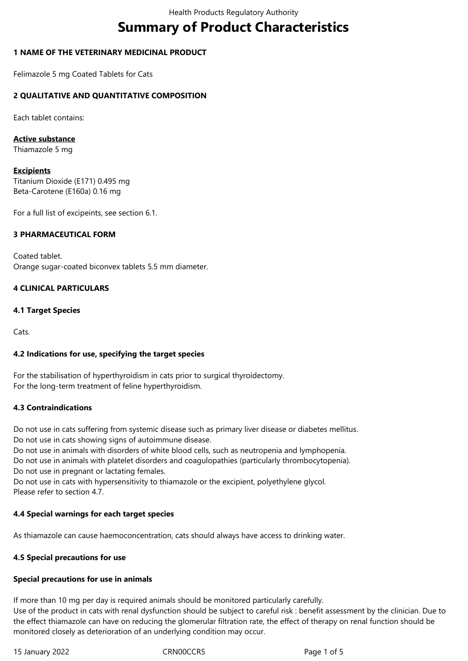# **Summary of Product Characteristics**

# **1 NAME OF THE VETERINARY MEDICINAL PRODUCT**

Felimazole 5 mg Coated Tablets for Cats

## **2 QUALITATIVE AND QUANTITATIVE COMPOSITION**

Each tablet contains:

#### **Active substance**

Thiamazole 5 mg

#### **Excipients**

Titanium Dioxide (E171) 0.495 mg Beta-Carotene (E160a) 0.16 mg

For a full list of excipeints, see section 6.1.

## **3 PHARMACEUTICAL FORM**

Coated tablet. Orange sugar-coated biconvex tablets 5.5 mm diameter.

## **4 CLINICAL PARTICULARS**

## **4.1 Target Species**

Cats.

# **4.2 Indications for use, specifying the target species**

For the stabilisation of hyperthyroidism in cats prior to surgical thyroidectomy. For the long-term treatment of feline hyperthyroidism.

#### **4.3 Contraindications**

Do not use in cats suffering from systemic disease such as primary liver disease or diabetes mellitus. Do not use in cats showing signs of autoimmune disease.

Do not use in animals with disorders of white blood cells, such as neutropenia and lymphopenia.

Do not use in animals with platelet disorders and coagulopathies (particularly thrombocytopenia). Do not use in pregnant or lactating females.

Do not use in cats with hypersensitivity to thiamazole or the excipient, polyethylene glycol. Please refer to section 4.7.

# **4.4 Special warnings for each target species**

As thiamazole can cause haemoconcentration, cats should always have access to drinking water.

#### **4.5 Special precautions for use**

#### **Special precautions for use in animals**

If more than 10 mg per day is required animals should be monitored particularly carefully.

Use of the product in cats with renal dysfunction should be subject to careful risk : benefit assessment by the clinician. Due to the effect thiamazole can have on reducing the glomerular filtration rate, the effect of therapy on renal function should be monitored closely as deterioration of an underlying condition may occur.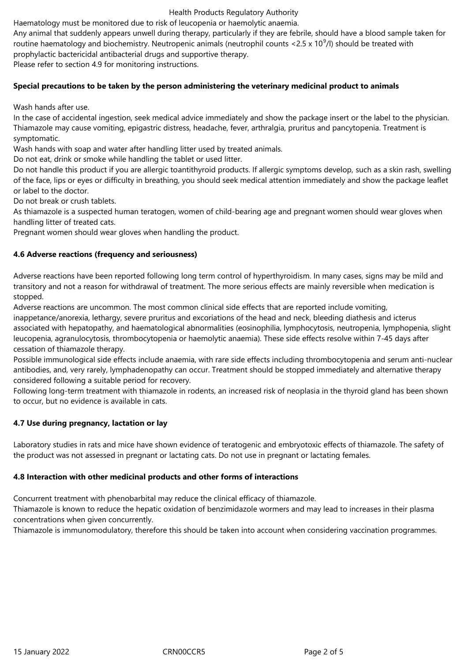#### Health Products Regulatory Authority

Haematology must be monitored due to risk of leucopenia or haemolytic anaemia.

Any animal that suddenly appears unwell during therapy, particularly if they are febrile, should have a blood sample taken for routine haematology and biochemistry. Neutropenic animals (neutrophil counts <2.5 x 10<sup>9</sup>/l) should be treated with prophylactic bactericidal antibacterial drugs and supportive therapy.

Please refer to section 4.9 for monitoring instructions.

#### **Special precautions to be taken by the person administering the veterinary medicinal product to animals**

Wash hands after use.

In the case of accidental ingestion, seek medical advice immediately and show the package insert or the label to the physician. Thiamazole may cause vomiting, epigastric distress, headache, fever, arthralgia, pruritus and pancytopenia. Treatment is symptomatic.

Wash hands with soap and water after handling litter used by treated animals.

Do not eat, drink or smoke while handling the tablet or used litter.

Do not handle this product if you are allergic toantithyroid products. If allergic symptoms develop, such as a skin rash, swelling of the face, lips or eyes or difficulty in breathing, you should seek medical attention immediately and show the package leaflet or label to the doctor.

Do not break or crush tablets.

As thiamazole is a suspected human teratogen, women of child-bearing age and pregnant women should wear gloves when handling litter of treated cats.

Pregnant women should wear gloves when handling the product.

## **4.6 Adverse reactions (frequency and seriousness)**

Adverse reactions have been reported following long term control of hyperthyroidism. In many cases, signs may be mild and transitory and not a reason for withdrawal of treatment. The more serious effects are mainly reversible when medication is stopped.

Adverse reactions are uncommon. The most common clinical side effects that are reported include vomiting,

inappetance/anorexia, lethargy, severe pruritus and excoriations of the head and neck, bleeding diathesis and icterus associated with hepatopathy, and haematological abnormalities (eosinophilia, lymphocytosis, neutropenia, lymphopenia, slight leucopenia, agranulocytosis, thrombocytopenia or haemolytic anaemia). These side effects resolve within 7-45 days after cessation of thiamazole therapy.

Possible immunological side effects include anaemia, with rare side effects including thrombocytopenia and serum anti-nuclear antibodies, and, very rarely, lymphadenopathy can occur. Treatment should be stopped immediately and alternative therapy considered following a suitable period for recovery.

Following long-term treatment with thiamazole in rodents, an increased risk of neoplasia in the thyroid gland has been shown to occur, but no evidence is available in cats.

#### **4.7 Use during pregnancy, lactation or lay**

Laboratory studies in rats and mice have shown evidence of teratogenic and embryotoxic effects of thiamazole. The safety of the product was not assessed in pregnant or lactating cats. Do not use in pregnant or lactating females.

#### **4.8 Interaction with other medicinal products and other forms of interactions**

Concurrent treatment with phenobarbital may reduce the clinical efficacy of thiamazole.

Thiamazole is known to reduce the hepatic oxidation of benzimidazole wormers and may lead to increases in their plasma concentrations when given concurrently.

Thiamazole is immunomodulatory, therefore this should be taken into account when considering vaccination programmes.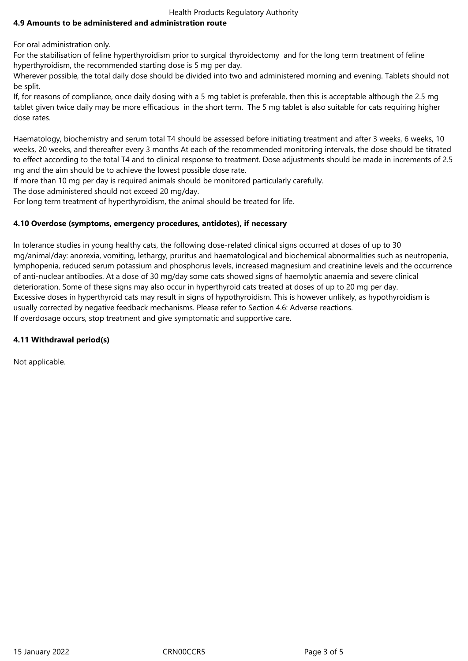# Health Products Regulatory Authority

## **4.9 Amounts to be administered and administration route**

For oral administration only.

For the stabilisation of feline hyperthyroidism prior to surgical thyroidectomy and for the long term treatment of feline hyperthyroidism, the recommended starting dose is 5 mg per day.

Wherever possible, the total daily dose should be divided into two and administered morning and evening. Tablets should not be split.

If, for reasons of compliance, once daily dosing with a 5 mg tablet is preferable, then this is acceptable although the 2.5 mg tablet given twice daily may be more efficacious in the short term. The 5 mg tablet is also suitable for cats requiring higher dose rates.

Haematology, biochemistry and serum total T4 should be assessed before initiating treatment and after 3 weeks, 6 weeks, 10 weeks, 20 weeks, and thereafter every 3 months At each of the recommended monitoring intervals, the dose should be titrated to effect according to the total T4 and to clinical response to treatment. Dose adjustments should be made in increments of 2.5 mg and the aim should be to achieve the lowest possible dose rate.

If more than 10 mg per day is required animals should be monitored particularly carefully.

The dose administered should not exceed 20 mg/day.

For long term treatment of hyperthyroidism, the animal should be treated for life.

## **4.10 Overdose (symptoms, emergency procedures, antidotes), if necessary**

In tolerance studies in young healthy cats, the following dose-related clinical signs occurred at doses of up to 30 mg/animal/day: anorexia, vomiting, lethargy, pruritus and haematological and biochemical abnormalities such as neutropenia, lymphopenia, reduced serum potassium and phosphorus levels, increased magnesium and creatinine levels and the occurrence of anti-nuclear antibodies. At a dose of 30 mg/day some cats showed signs of haemolytic anaemia and severe clinical deterioration. Some of these signs may also occur in hyperthyroid cats treated at doses of up to 20 mg per day. Excessive doses in hyperthyroid cats may result in signs of hypothyroidism. This is however unlikely, as hypothyroidism is usually corrected by negative feedback mechanisms. Please refer to Section 4.6: Adverse reactions. If overdosage occurs, stop treatment and give symptomatic and supportive care.

#### **4.11 Withdrawal period(s)**

Not applicable.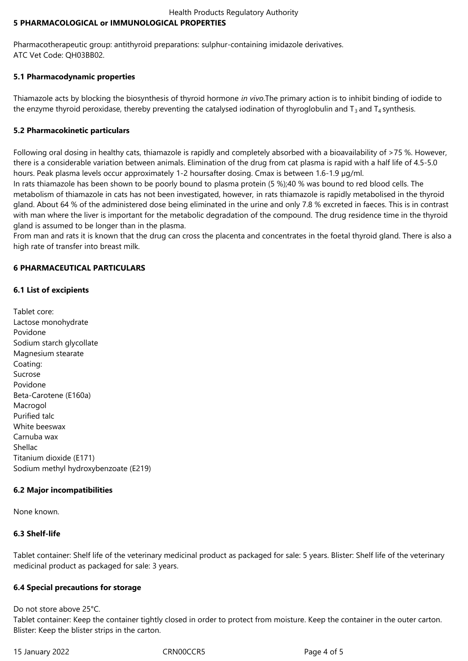#### Health Products Regulatory Authority **5 PHARMACOLOGICAL or IMMUNOLOGICAL PROPERTIES**

Pharmacotherapeutic group: antithyroid preparations: sulphur-containing imidazole derivatives. ATC Vet Code: QH03BB02.

# **5.1 Pharmacodynamic properties**

Thiamazole acts by blocking the biosynthesis of thyroid hormone *in vivo*.The primary action is to inhibit binding of iodide to the enzyme thyroid peroxidase, thereby preventing the catalysed iodination of thyroglobulin and  $T_3$  and  $T_4$  synthesis.

## **5.2 Pharmacokinetic particulars**

Following oral dosing in healthy cats, thiamazole is rapidly and completely absorbed with a bioavailability of >75 %. However, there is a considerable variation between animals. Elimination of the drug from cat plasma is rapid with a half life of 4.5-5.0 hours. Peak plasma levels occur approximately 1-2 hoursafter dosing. Cmax is between 1.6-1.9 µg/ml.

In rats thiamazole has been shown to be poorly bound to plasma protein (5 %);40 % was bound to red blood cells. The metabolism of thiamazole in cats has not been investigated, however, in rats thiamazole is rapidly metabolised in the thyroid gland. About 64 % of the administered dose being eliminated in the urine and only 7.8 % excreted in faeces. This is in contrast with man where the liver is important for the metabolic degradation of the compound. The drug residence time in the thyroid gland is assumed to be longer than in the plasma.

From man and rats it is known that the drug can cross the placenta and concentrates in the foetal thyroid gland. There is also a high rate of transfer into breast milk.

# **6 PHARMACEUTICAL PARTICULARS**

## **6.1 List of excipients**

Tablet core: Lactose monohydrate Povidone Sodium starch glycollate Magnesium stearate Coating: Sucrose Povidone Beta-Carotene (E160a) Macrogol Purified talc White beeswax Carnuba wax Shellac Titanium dioxide (E171) Sodium methyl hydroxybenzoate (E219)

# **6.2 Major incompatibilities**

None known.

#### **6.3 Shelf-life**

Tablet container: Shelf life of the veterinary medicinal product as packaged for sale: 5 years. Blister: Shelf life of the veterinary medicinal product as packaged for sale: 3 years.

#### **6.4 Special precautions for storage**

Do not store above 25°C.

Tablet container: Keep the container tightly closed in order to protect from moisture. Keep the container in the outer carton. Blister: Keep the blister strips in the carton.